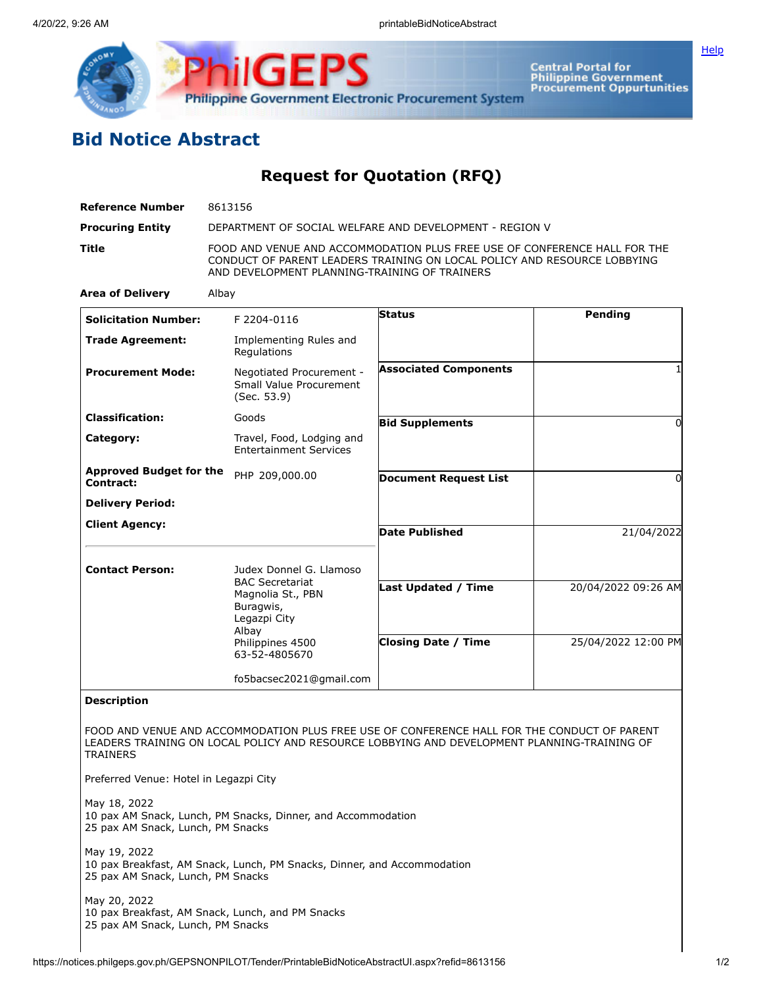

**Central Portal for<br>Philippine Government<br>Procurement Oppurtunities** 

## **Bid Notice Abstract**

**Request for Quotation (RFQ)**

| <b>Reference Number</b>                           | 8613156                                                                                                                                                                                                |                                                   |                                            |
|---------------------------------------------------|--------------------------------------------------------------------------------------------------------------------------------------------------------------------------------------------------------|---------------------------------------------------|--------------------------------------------|
| <b>Procuring Entity</b>                           | DEPARTMENT OF SOCIAL WELFARE AND DEVELOPMENT - REGION V                                                                                                                                                |                                                   |                                            |
| Title                                             | FOOD AND VENUE AND ACCOMMODATION PLUS FREE USE OF CONFERENCE HALL FOR THE<br>CONDUCT OF PARENT LEADERS TRAINING ON LOCAL POLICY AND RESOURCE LOBBYING<br>AND DEVELOPMENT PLANNING-TRAINING OF TRAINERS |                                                   |                                            |
| <b>Area of Delivery</b>                           | Albay                                                                                                                                                                                                  |                                                   |                                            |
| <b>Solicitation Number:</b>                       | F 2204-0116                                                                                                                                                                                            | <b>Status</b>                                     | Pending                                    |
| <b>Trade Agreement:</b>                           | Implementing Rules and<br>Regulations                                                                                                                                                                  |                                                   |                                            |
| <b>Procurement Mode:</b>                          | Negotiated Procurement -<br>Small Value Procurement<br>(Sec. 53.9)                                                                                                                                     | <b>Associated Components</b>                      |                                            |
| <b>Classification:</b>                            | Goods                                                                                                                                                                                                  | <b>Bid Supplements</b>                            | 0                                          |
| Category:                                         | Travel, Food, Lodging and<br><b>Entertainment Services</b>                                                                                                                                             |                                                   |                                            |
| <b>Approved Budget for the</b><br>Contract:       | PHP 209,000.00                                                                                                                                                                                         | <b>Document Request List</b>                      | 0                                          |
| <b>Delivery Period:</b>                           |                                                                                                                                                                                                        |                                                   |                                            |
| <b>Client Agency:</b>                             |                                                                                                                                                                                                        | <b>Date Published</b>                             | 21/04/2022                                 |
| <b>Contact Person:</b>                            | Judex Donnel G. Llamoso<br><b>BAC Secretariat</b><br>Magnolia St., PBN<br>Buragwis,<br>Legazpi City<br>Albay<br>Philippines 4500<br>63-52-4805670                                                      | Last Updated / Time<br><b>Closing Date / Time</b> | 20/04/2022 09:26 AM<br>25/04/2022 12:00 PM |
|                                                   |                                                                                                                                                                                                        |                                                   |                                            |
|                                                   | fo5bacsec2021@gmail.com                                                                                                                                                                                |                                                   |                                            |
| <b>Description</b>                                |                                                                                                                                                                                                        |                                                   |                                            |
| <b>TRAINERS</b>                                   | FOOD AND VENUE AND ACCOMMODATION PLUS FREE USE OF CONFERENCE HALL FOR THE CONDUCT OF PARENT<br>LEADERS TRAINING ON LOCAL POLICY AND RESOURCE LOBBYING AND DEVELOPMENT PLANNING-TRAINING OF             |                                                   |                                            |
| Preferred Venue: Hotel in Legazpi City            |                                                                                                                                                                                                        |                                                   |                                            |
| May 18, 2022<br>25 pax AM Snack, Lunch, PM Snacks | 10 pax AM Snack, Lunch, PM Snacks, Dinner, and Accommodation                                                                                                                                           |                                                   |                                            |
| May 19, 2022<br>25 pax AM Snack, Lunch, PM Snacks | 10 pax Breakfast, AM Snack, Lunch, PM Snacks, Dinner, and Accommodation                                                                                                                                |                                                   |                                            |
| May 20, 2022<br>25 pax AM Snack, Lunch, PM Snacks | 10 pax Breakfast, AM Snack, Lunch, and PM Snacks                                                                                                                                                       |                                                   |                                            |